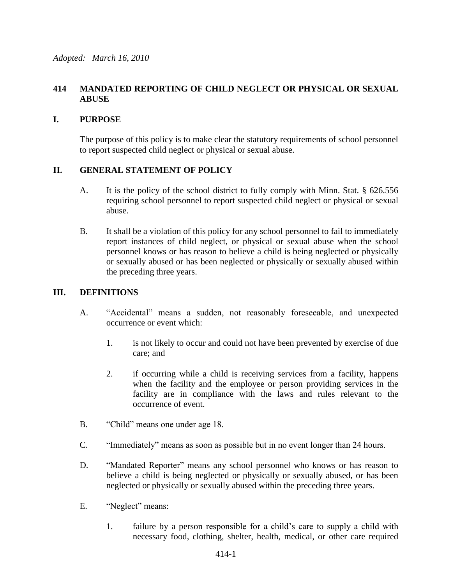# **414 MANDATED REPORTING OF CHILD NEGLECT OR PHYSICAL OR SEXUAL ABUSE**

### **I. PURPOSE**

The purpose of this policy is to make clear the statutory requirements of school personnel to report suspected child neglect or physical or sexual abuse.

## **II. GENERAL STATEMENT OF POLICY**

- A. It is the policy of the school district to fully comply with Minn. Stat. § 626.556 requiring school personnel to report suspected child neglect or physical or sexual abuse.
- B. It shall be a violation of this policy for any school personnel to fail to immediately report instances of child neglect, or physical or sexual abuse when the school personnel knows or has reason to believe a child is being neglected or physically or sexually abused or has been neglected or physically or sexually abused within the preceding three years.

#### **III. DEFINITIONS**

- A. "Accidental" means a sudden, not reasonably foreseeable, and unexpected occurrence or event which:
	- 1. is not likely to occur and could not have been prevented by exercise of due care; and
	- 2. if occurring while a child is receiving services from a facility, happens when the facility and the employee or person providing services in the facility are in compliance with the laws and rules relevant to the occurrence of event.
- B. "Child" means one under age 18.
- C. "Immediately" means as soon as possible but in no event longer than 24 hours.
- D. "Mandated Reporter" means any school personnel who knows or has reason to believe a child is being neglected or physically or sexually abused, or has been neglected or physically or sexually abused within the preceding three years.
- E. "Neglect" means:
	- 1. failure by a person responsible for a child's care to supply a child with necessary food, clothing, shelter, health, medical, or other care required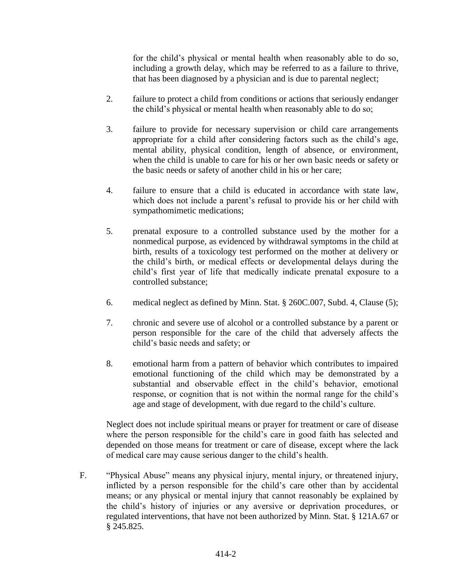for the child's physical or mental health when reasonably able to do so, including a growth delay, which may be referred to as a failure to thrive, that has been diagnosed by a physician and is due to parental neglect;

- 2. failure to protect a child from conditions or actions that seriously endanger the child's physical or mental health when reasonably able to do so;
- 3. failure to provide for necessary supervision or child care arrangements appropriate for a child after considering factors such as the child's age, mental ability, physical condition, length of absence, or environment, when the child is unable to care for his or her own basic needs or safety or the basic needs or safety of another child in his or her care;
- 4. failure to ensure that a child is educated in accordance with state law, which does not include a parent's refusal to provide his or her child with sympathomimetic medications;
- 5. prenatal exposure to a controlled substance used by the mother for a nonmedical purpose, as evidenced by withdrawal symptoms in the child at birth, results of a toxicology test performed on the mother at delivery or the child's birth, or medical effects or developmental delays during the child's first year of life that medically indicate prenatal exposure to a controlled substance;
- 6. medical neglect as defined by Minn. Stat. § 260C.007, Subd. 4, Clause (5);
- 7. chronic and severe use of alcohol or a controlled substance by a parent or person responsible for the care of the child that adversely affects the child's basic needs and safety; or
- 8. emotional harm from a pattern of behavior which contributes to impaired emotional functioning of the child which may be demonstrated by a substantial and observable effect in the child's behavior, emotional response, or cognition that is not within the normal range for the child's age and stage of development, with due regard to the child's culture.

Neglect does not include spiritual means or prayer for treatment or care of disease where the person responsible for the child's care in good faith has selected and depended on those means for treatment or care of disease, except where the lack of medical care may cause serious danger to the child's health.

F. "Physical Abuse" means any physical injury, mental injury, or threatened injury, inflicted by a person responsible for the child's care other than by accidental means; or any physical or mental injury that cannot reasonably be explained by the child's history of injuries or any aversive or deprivation procedures, or regulated interventions, that have not been authorized by Minn. Stat. § 121A.67 or § 245.825.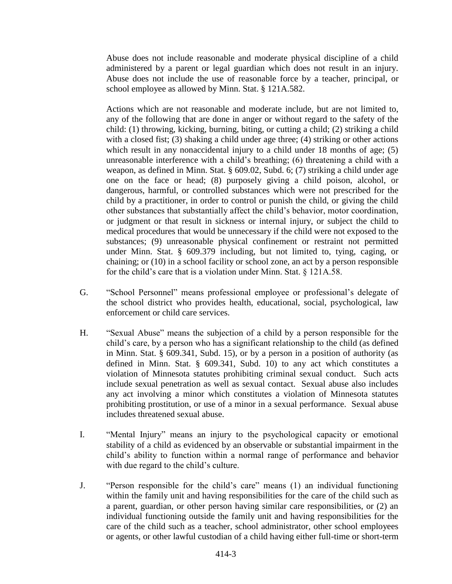Abuse does not include reasonable and moderate physical discipline of a child administered by a parent or legal guardian which does not result in an injury. Abuse does not include the use of reasonable force by a teacher, principal, or school employee as allowed by Minn. Stat. § 121A.582.

Actions which are not reasonable and moderate include, but are not limited to, any of the following that are done in anger or without regard to the safety of the child: (1) throwing, kicking, burning, biting, or cutting a child; (2) striking a child with a closed fist; (3) shaking a child under age three; (4) striking or other actions which result in any nonaccidental injury to a child under 18 months of age; (5) unreasonable interference with a child's breathing; (6) threatening a child with a weapon, as defined in Minn. Stat. § 609.02, Subd. 6; (7) striking a child under age one on the face or head; (8) purposely giving a child poison, alcohol, or dangerous, harmful, or controlled substances which were not prescribed for the child by a practitioner, in order to control or punish the child, or giving the child other substances that substantially affect the child's behavior, motor coordination, or judgment or that result in sickness or internal injury, or subject the child to medical procedures that would be unnecessary if the child were not exposed to the substances; (9) unreasonable physical confinement or restraint not permitted under Minn. Stat. § 609.379 including, but not limited to, tying, caging, or chaining; or (10) in a school facility or school zone, an act by a person responsible for the child's care that is a violation under Minn. Stat. § 121A.58.

- G. "School Personnel" means professional employee or professional's delegate of the school district who provides health, educational, social, psychological, law enforcement or child care services.
- H. "Sexual Abuse" means the subjection of a child by a person responsible for the child's care, by a person who has a significant relationship to the child (as defined in Minn. Stat. § 609.341, Subd. 15), or by a person in a position of authority (as defined in Minn. Stat. § 609.341, Subd. 10) to any act which constitutes a violation of Minnesota statutes prohibiting criminal sexual conduct. Such acts include sexual penetration as well as sexual contact. Sexual abuse also includes any act involving a minor which constitutes a violation of Minnesota statutes prohibiting prostitution, or use of a minor in a sexual performance. Sexual abuse includes threatened sexual abuse.
- I. "Mental Injury" means an injury to the psychological capacity or emotional stability of a child as evidenced by an observable or substantial impairment in the child's ability to function within a normal range of performance and behavior with due regard to the child's culture.
- J. "Person responsible for the child's care" means (1) an individual functioning within the family unit and having responsibilities for the care of the child such as a parent, guardian, or other person having similar care responsibilities, or (2) an individual functioning outside the family unit and having responsibilities for the care of the child such as a teacher, school administrator, other school employees or agents, or other lawful custodian of a child having either full-time or short-term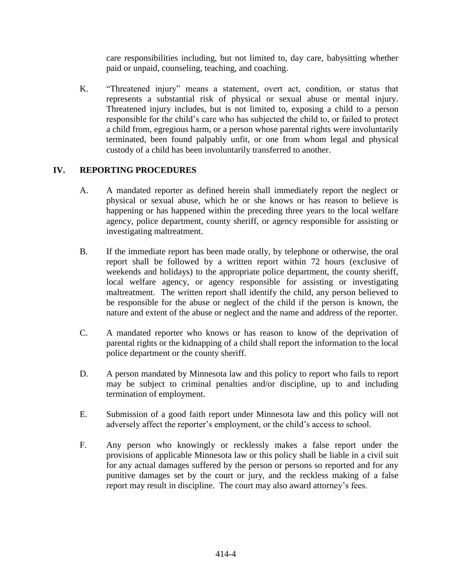care responsibilities including, but not limited to, day care, babysitting whether paid or unpaid, counseling, teaching, and coaching.

K. "Threatened injury" means a statement, overt act, condition, or status that represents a substantial risk of physical or sexual abuse or mental injury. Threatened injury includes, but is not limited to, exposing a child to a person responsible for the child's care who has subjected the child to, or failed to protect a child from, egregious harm, or a person whose parental rights were involuntarily terminated, been found palpably unfit, or one from whom legal and physical custody of a child has been involuntarily transferred to another.

# **IV. REPORTING PROCEDURES**

- A. A mandated reporter as defined herein shall immediately report the neglect or physical or sexual abuse, which he or she knows or has reason to believe is happening or has happened within the preceding three years to the local welfare agency, police department, county sheriff, or agency responsible for assisting or investigating maltreatment.
- B. If the immediate report has been made orally, by telephone or otherwise, the oral report shall be followed by a written report within 72 hours (exclusive of weekends and holidays) to the appropriate police department, the county sheriff, local welfare agency, or agency responsible for assisting or investigating maltreatment. The written report shall identify the child, any person believed to be responsible for the abuse or neglect of the child if the person is known, the nature and extent of the abuse or neglect and the name and address of the reporter.
- C. A mandated reporter who knows or has reason to know of the deprivation of parental rights or the kidnapping of a child shall report the information to the local police department or the county sheriff.
- D. A person mandated by Minnesota law and this policy to report who fails to report may be subject to criminal penalties and/or discipline, up to and including termination of employment.
- E. Submission of a good faith report under Minnesota law and this policy will not adversely affect the reporter's employment, or the child's access to school.
- F. Any person who knowingly or recklessly makes a false report under the provisions of applicable Minnesota law or this policy shall be liable in a civil suit for any actual damages suffered by the person or persons so reported and for any punitive damages set by the court or jury, and the reckless making of a false report may result in discipline. The court may also award attorney's fees.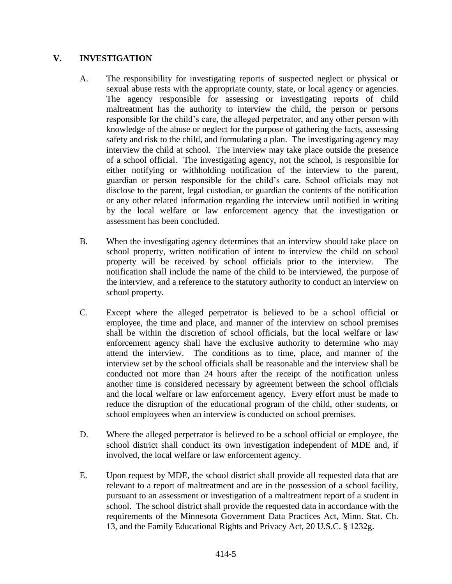## **V. INVESTIGATION**

- A. The responsibility for investigating reports of suspected neglect or physical or sexual abuse rests with the appropriate county, state, or local agency or agencies. The agency responsible for assessing or investigating reports of child maltreatment has the authority to interview the child, the person or persons responsible for the child's care, the alleged perpetrator, and any other person with knowledge of the abuse or neglect for the purpose of gathering the facts, assessing safety and risk to the child, and formulating a plan. The investigating agency may interview the child at school. The interview may take place outside the presence of a school official. The investigating agency, not the school, is responsible for either notifying or withholding notification of the interview to the parent, guardian or person responsible for the child's care. School officials may not disclose to the parent, legal custodian, or guardian the contents of the notification or any other related information regarding the interview until notified in writing by the local welfare or law enforcement agency that the investigation or assessment has been concluded.
- B. When the investigating agency determines that an interview should take place on school property, written notification of intent to interview the child on school property will be received by school officials prior to the interview. The notification shall include the name of the child to be interviewed, the purpose of the interview, and a reference to the statutory authority to conduct an interview on school property.
- C. Except where the alleged perpetrator is believed to be a school official or employee, the time and place, and manner of the interview on school premises shall be within the discretion of school officials, but the local welfare or law enforcement agency shall have the exclusive authority to determine who may attend the interview. The conditions as to time, place, and manner of the interview set by the school officials shall be reasonable and the interview shall be conducted not more than 24 hours after the receipt of the notification unless another time is considered necessary by agreement between the school officials and the local welfare or law enforcement agency. Every effort must be made to reduce the disruption of the educational program of the child, other students, or school employees when an interview is conducted on school premises.
- D. Where the alleged perpetrator is believed to be a school official or employee, the school district shall conduct its own investigation independent of MDE and, if involved, the local welfare or law enforcement agency.
- E. Upon request by MDE, the school district shall provide all requested data that are relevant to a report of maltreatment and are in the possession of a school facility, pursuant to an assessment or investigation of a maltreatment report of a student in school. The school district shall provide the requested data in accordance with the requirements of the Minnesota Government Data Practices Act, Minn. Stat. Ch. 13, and the Family Educational Rights and Privacy Act, 20 U.S.C. § 1232g.